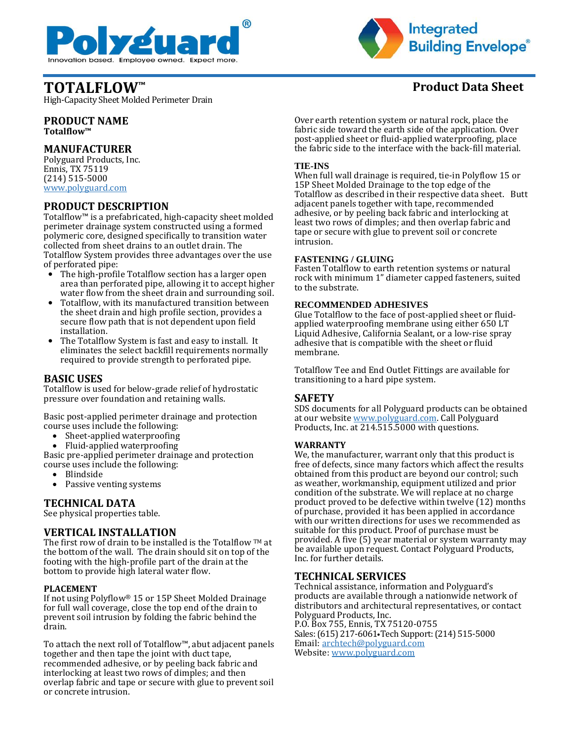



High-Capacity Sheet Molded Perimeter Drain

**PRODUCT NAME Totalflow™**

# **MANUFACTURER**

Polyguard Products, Inc. Ennis, TX 75119 (214) 515-5000 [www.polyguard.com](http://www.polyguard.com/)

# **PRODUCT DESCRIPTION**

Totalflow™ is a prefabricated, high-capacity sheet molded perimeter drainage system constructed using a formed polymeric core, designed specifically to transition water collected from sheet drains to an outlet drain. The Totalflow System provides three advantages over the use of perforated pipe:

- The high-profile Totalflow section has a larger open area than perforated pipe, allowing it to accept higher water flow from the sheet drain and surrounding soil.
- Totalflow, with its manufactured transition between the sheet drain and high profile section, provides a secure flow path that is not dependent upon field installation.
- The Totalflow System is fast and easy to install. It eliminates the select backfill requirements normally required to provide strength to perforated pipe.

# **BASIC USES**

Totalflow is used for below-grade relief of hydrostatic pressure over foundation and retaining walls.

Basic post-applied perimeter drainage and protection course uses include the following:

- Sheet-applied waterproofing
- Fluid-applied waterproofing

Basic pre-applied perimeter drainage and protection course uses include the following:

- Blindside
- Passive venting systems

# **TECHNICAL DATA**

See physical properties table.

# **VERTICAL INSTALLATION**

The first row of drain to be installed is the Totalflow  $TM$  at the bottom of the wall. The drain should sit on top of the footing with the high-profile part of the drain at the bottom to provide high lateral water flow.

## **PLACEMENT**

If not using Polyflow® 15 or 15P Sheet Molded Drainage for full wall coverage, close the top end of the drain to prevent soil intrusion by folding the fabric behind the drain.

To attach the next roll of Totalflow™, abut adjacent panels together and then tape the joint with duct tape, recommended adhesive, or by peeling back fabric and interlocking at least two rows of dimples; and then overlap fabric and tape or secure with glue to prevent soil or concrete intrusion.

# **TOTALFLOW™ Product Data Sheet**

Over earth retention system or natural rock, place the fabric side toward the earth side of the application. Over post-applied sheet or fluid-applied waterproofing, place the fabric side to the interface with the back-fill material.

## **TIE-INS**

When full wall drainage is required, tie-in Polyflow 15 or 15P Sheet Molded Drainage to the top edge of the Totalflow as described in their respective data sheet. Butt adjacent panels together with tape, recommended adhesive, or by peeling back fabric and interlocking at least two rows of dimples; and then overlap fabric and tape or secure with glue to prevent soil or concrete intrusion.

## **FASTENING / GLUING**

Fasten Totalflow to earth retention systems or natural rock with minimum 1" diameter capped fasteners, suited to the substrate.

### **RECOMMENDED ADHESIVES**

Glue Totalflow to the face of post-applied sheet or fluidapplied waterproofing membrane using either 650 LT Liquid Adhesive, California Sealant, or a low-rise spray adhesive that is compatible with the sheet or fluid membrane.

Totalflow Tee and End Outlet Fittings are available for transitioning to a hard pipe system.

# **SAFETY**

SDS documents for all Polyguard products can be obtained at our website [www.polyguard.com.](http://www.polyguard.com/) Call Polyguard Products, Inc. at 214.515.5000 with questions.

## **WARRANTY**

We, the manufacturer, warrant only that this product is free of defects, since many factors which affect the results obtained from this product are beyond our control; such as weather, workmanship, equipment utilized and prior condition of the substrate. We will replace at no charge product proved to be defective within twelve (12) months of purchase, provided it has been applied in accordance with our written directions for uses we recommended as suitable for this product. Proof of purchase must be provided. A five (5) year material or system warranty may be available upon request. Contact Polyguard Products, Inc. for further details.

# **TECHNICAL SERVICES**

Technical assistance, information and Polyguard's products are available through a nationwide network of distributors and architectural representatives, or contact Polyguard Products, Inc. P.O. Box 755, Ennis, TX 75120-0755 Sales: (615) 217-6061•Tech Support: (214) 515-5000 Email: [archtech@polyguard.com](mailto:archtech@polyguard.com) Website: [www.polyguard.com](http://www.polyguard.com/)